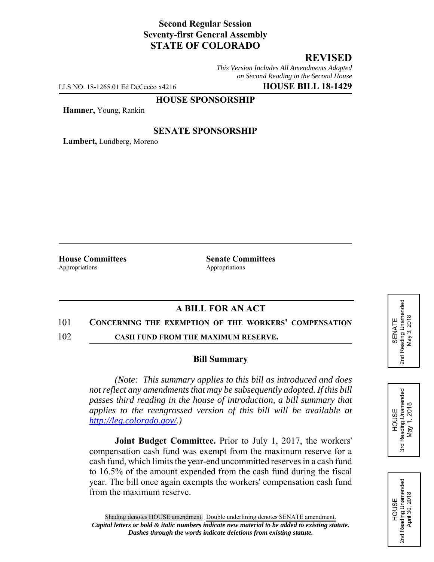## **Second Regular Session Seventy-first General Assembly STATE OF COLORADO**

# **REVISED**

*This Version Includes All Amendments Adopted on Second Reading in the Second House*

LLS NO. 18-1265.01 Ed DeCecco x4216 **HOUSE BILL 18-1429**

# **HOUSE SPONSORSHIP**

**Hamner,** Young, Rankin

### **SENATE SPONSORSHIP**

**Lambert,** Lundberg, Moreno

Appropriations **Appropriations** 

**House Committees Senate Committees** 

## **A BILL FOR AN ACT**

#### 101 **CONCERNING THE EXEMPTION OF THE WORKERS' COMPENSATION**

102 **CASH FUND FROM THE MAXIMUM RESERVE.**

#### **Bill Summary**

*(Note: This summary applies to this bill as introduced and does not reflect any amendments that may be subsequently adopted. If this bill passes third reading in the house of introduction, a bill summary that applies to the reengrossed version of this bill will be available at http://leg.colorado.gov/.)*

**Joint Budget Committee.** Prior to July 1, 2017, the workers' compensation cash fund was exempt from the maximum reserve for a cash fund, which limits the year-end uncommitted reserves in a cash fund to 16.5% of the amount expended from the cash fund during the fiscal year. The bill once again exempts the workers' compensation cash fund from the maximum reserve.